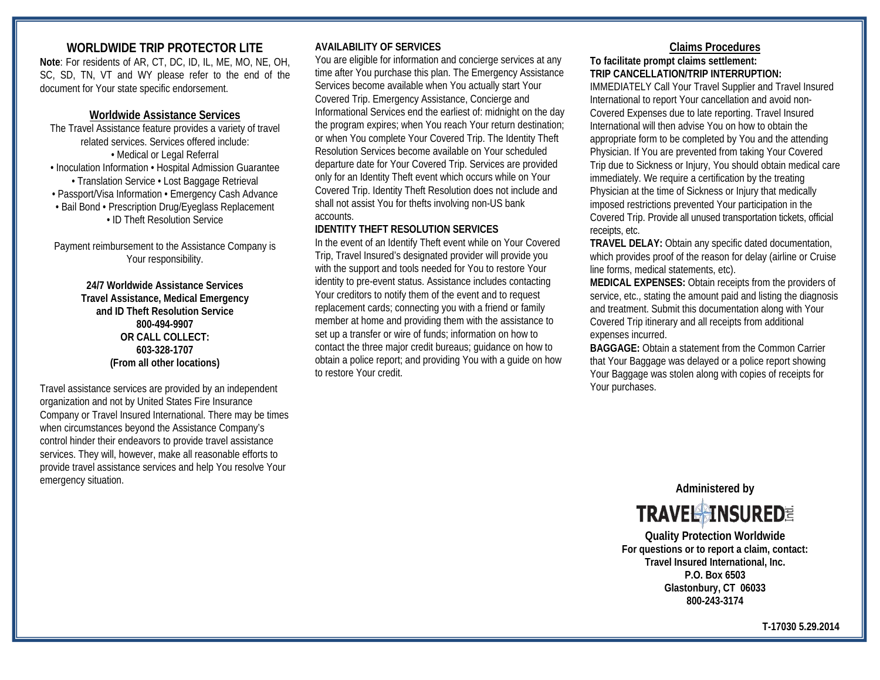# **WORLDWIDE TRIP PROTECTOR LITE**

**Note**: For residents of AR, CT, DC, ID, IL, ME, MO, NE, OH, SC, SD, TN, VT and WY please refer to the end of the document for Your state specific endorsement.

# **Worldwide Assistance Services**

The Travel Assistance feature provides a variety of travel related services. Services offered include: • Medical or Legal Referral • Inoculation Information • Hospital Admission Guarantee • Translation Service • Lost Baggage Retrieval • Passport/Visa Information • Emergency Cash Advance • Bail Bond • Prescription Drug/Eyeglass Replacement • ID Theft Resolution Service

Payment reimbursement to the Assistance Company is Your responsibility.

> **24/7 Worldwide Assistance Services Travel Assistance, Medical Emergency and ID Theft Resolution Service 800-494-9907 OR CALL COLLECT: 603-328-1707 (From all other locations)**

Travel assistance services are provided by an independent organization and not by United States Fire Insurance Company or Travel Insured International. There may be times when circumstances beyond the Assistance Company's control hinder their endeavors to provide travel assistance services. They will, however, make all reasonable efforts to provide travel assistance services and help You resolve Your emergency situation.

# **AVAILABILITY OF SERVICES**

You are eligible for information and concierge services at any time after You purchase this plan. The Emergency Assistance Services become available when You actually start Your Covered Trip. Emergency Assistance, Concierge and Informational Services end the earliest of: midnight on the day the program expires; when You reach Your return destination; or when You complete Your Covered Trip. The Identity Theft Resolution Services become available on Your scheduled departure date for Your Covered Trip. Services are provided only for an Identity Theft event which occurs while on Your Covered Trip. Identity Theft Resolution does not include and shall not assist You for thefts involving non-US bank accounts.

### **IDENTITY THEFT RESOLUTION SERVICES**

In the event of an Identify Theft event while on Your Covered Trip, Travel Insured's designated provider will provide you with the support and tools needed for You to restore Your identity to pre-event status. Assistance includes contacting Your creditors to notify them of the event and to request replacement cards; connecting you with a friend or family member at home and providing them with the assistance to set up a transfer or wire of funds; information on how to contact the three major credit bureaus; guidance on how to obtain a police report; and providing You with a guide on how to restore Your credit.

# **Claims Procedures**

# **To facilitate prompt claims settlement: TRIP CANCELLATION/TRIP INTERRUPTION:**

IMMEDIATELY Call Your Travel Supplier and Travel Insured International to report Your cancellation and avoid non-Covered Expenses due to late reporting. Travel Insured International will then advise You on how to obtain the appropriate form to be completed by You and the attending Physician. If You are prevented from taking Your Covered Trip due to Sickness or Injury, You should obtain medical care immediately. We require a certification by the treating Physician at the time of Sickness or Injury that medically imposed restrictions prevented Your participation in the Covered Trip. Provide all unused transportation tickets, official receipts, etc.

**TRAVEL DELAY:** Obtain any specific dated documentation, which provides proof of the reason for delay (airline or Cruise line forms, medical statements, etc).

**MEDICAL EXPENSES:** Obtain receipts from the providers of service, etc., stating the amount paid and listing the diagnosis and treatment. Submit this documentation along with Your Covered Trip itinerary and all receipts from additional expenses incurred.

**BAGGAGE:** Obtain a statement from the Common Carrier that Your Baggage was delayed or a police report showing Your Baggage was stolen along with copies of receipts for Your purchases.

**Administered by**

**TRAVEL MINSUREDE** 

**Quality Protection Worldwide For questions or to report a claim, contact: Travel Insured International, Inc. P.O. Box 6503 Glastonbury, CT 06033 800-243-3174**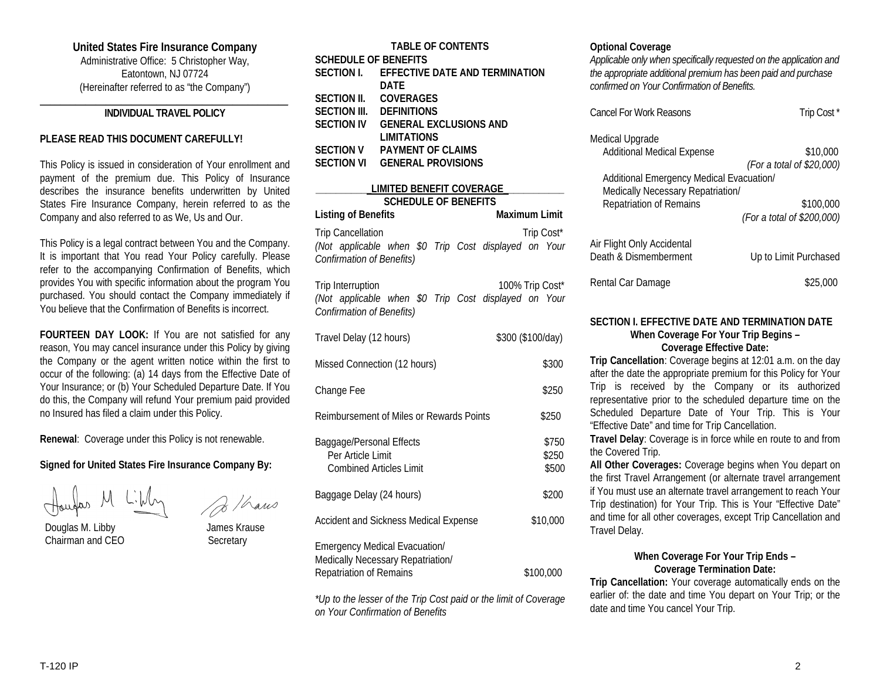# **United States Fire Insurance Company**

Administrative Office: 5 Christopher Way, Eatontown, NJ 07724 (Hereinafter referred to as "the Company")

#### **\_\_\_\_\_\_\_\_\_\_\_\_\_\_\_\_\_\_\_\_\_\_\_\_\_\_\_\_\_\_\_\_\_\_\_\_\_\_\_\_\_\_\_\_\_\_\_\_\_ INDIVIDUAL TRAVEL POLICY**

#### **PLEASE READ THIS DOCUMENT CAREFULLY!**

This Policy is issued in consideration of Your enrollment and payment of the premium due. This Policy of Insurance describes the insurance benefits underwritten by United States Fire Insurance Company, herein referred to as the Company and also referred to as We, Us and Our.

This Policy is a legal contract between You and the Company. It is important that You read Your Policy carefully. Please refer to the accompanying Confirmation of Benefits, which provides You with specific information about the program You purchased. You should contact the Company immediately if You believe that the Confirmation of Benefits is incorrect.

**FOURTEEN DAY LOOK:** If You are not satisfied for any reason, You may cancel insurance under this Policy by giving the Company or the agent written notice within the first to occur of the following: (a) 14 days from the Effective Date of Your Insurance; or (b) Your Scheduled Departure Date. If You do this, the Company will refund Your premium paid provided no Insured has filed a claim under this Policy.

**Renewal**: Coverage under this Policy is not renewable.

# **Signed for United States Fire Insurance Company By:**

 Douglas M. Libby James Krause Chairman and CEO Secretary

| B / hans |
|----------|
|          |

| <b>TABLE OF CONTENTS</b>                  |  |  |
|-------------------------------------------|--|--|
| <b>SCHEDULE OF BENEFITS</b>               |  |  |
| SECTION I. EFFECTIVE DATE AND TERMINATION |  |  |
| DATF                                      |  |  |
| <b>COVERAGES</b>                          |  |  |
| <b>DEFINITIONS</b>                        |  |  |
| <b>GENERAL EXCLUSIONS AND</b>             |  |  |
| <b>LIMITATIONS</b>                        |  |  |
| <b>PAYMENT OF CLAIMS</b>                  |  |  |
| <b>GENERAL PROVISIONS</b>                 |  |  |
|                                           |  |  |

| LIMITED BENEFIT COVERAGE                                                                                      |  |  |                      |            |
|---------------------------------------------------------------------------------------------------------------|--|--|----------------------|------------|
| <b>SCHEDULE OF BENEFITS</b>                                                                                   |  |  |                      |            |
| Listing of Benefits                                                                                           |  |  | <b>Maximum Limit</b> |            |
| Trip Cancellation<br>(Not applicable when \$0 Trip Cost displayed on Your<br><b>Confirmation of Benefits)</b> |  |  |                      | Trip Cost* |
| Trip Interruption<br>(Not applicable when \$0 Trip Cost displayed on Your<br><b>Confirmation of Benefits)</b> |  |  | 100% Trip Cost*      |            |
| Travel Delay (12 hours)                                                                                       |  |  | \$300 (\$100/day)    |            |

| Missed Connection (12 hours)                                                                                | \$300                   |
|-------------------------------------------------------------------------------------------------------------|-------------------------|
| Change Fee                                                                                                  | \$250                   |
| Reimbursement of Miles or Rewards Points                                                                    | \$250                   |
| Baggage/Personal Effects<br>Per Article Limit<br><b>Combined Articles Limit</b>                             | \$750<br>\$250<br>\$500 |
| Baggage Delay (24 hours)                                                                                    | \$200                   |
| <b>Accident and Sickness Medical Expense</b>                                                                | \$10,000                |
| <b>Emergency Medical Evacuation/</b><br>Medically Necessary Repatriation/<br><b>Repatriation of Remains</b> | \$100,000               |

*\*Up to the lesser of the Trip Cost paid or the limit of Coverage on Your Confirmation of Benefits*

#### **Optional Coverage**

*Applicable only when specifically requested on the application and the appropriate additional premium has been paid and purchase confirmed on Your Confirmation of Benefits.*

| <b>Cancel For Work Reasons</b>                                      | Trip Cost <sup>*</sup>     |
|---------------------------------------------------------------------|----------------------------|
| Medical Upgrade<br>Additional Medical Expense                       | \$10,000                   |
|                                                                     | (For a total of \$20,000)  |
| Additional Emergency Medical Evacuation/                            |                            |
| Medically Necessary Repatriation/<br><b>Repatriation of Remains</b> | \$100,000                  |
|                                                                     | (For a total of \$200,000) |
| Air Flight Only Accidental<br>Death & Dismemberment                 | Up to Limit Purchased      |
|                                                                     |                            |
| Rental Car Damage                                                   | \$25.0                     |

#### **SECTION I. EFFECTIVE DATE AND TERMINATION DATE When Coverage For Your Trip Begins – Coverage Effective Date:**

**Trip Cancellation**: Coverage begins at 12:01 a.m. on the day after the date the appropriate premium for this Policy for Your Trip is received by the Company or its authorized representative prior to the scheduled departure time on the Scheduled Departure Date of Your Trip. This is Your "Effective Date" and time for Trip Cancellation.

**Travel Delay**: Coverage is in force while en route to and from the Covered Trip.

**All Other Coverages:** Coverage begins when You depart on the first Travel Arrangement (or alternate travel arrangement if You must use an alternate travel arrangement to reach Your Trip destination) for Your Trip. This is Your "Effective Date" and time for all other coverages, except Trip Cancellation and Travel Delay.

# **When Coverage For Your Trip Ends – Coverage Termination Date:**

**Trip Cancellation:** Your coverage automatically ends on the earlier of: the date and time You depart on Your Trip; or the date and time You cancel Your Trip.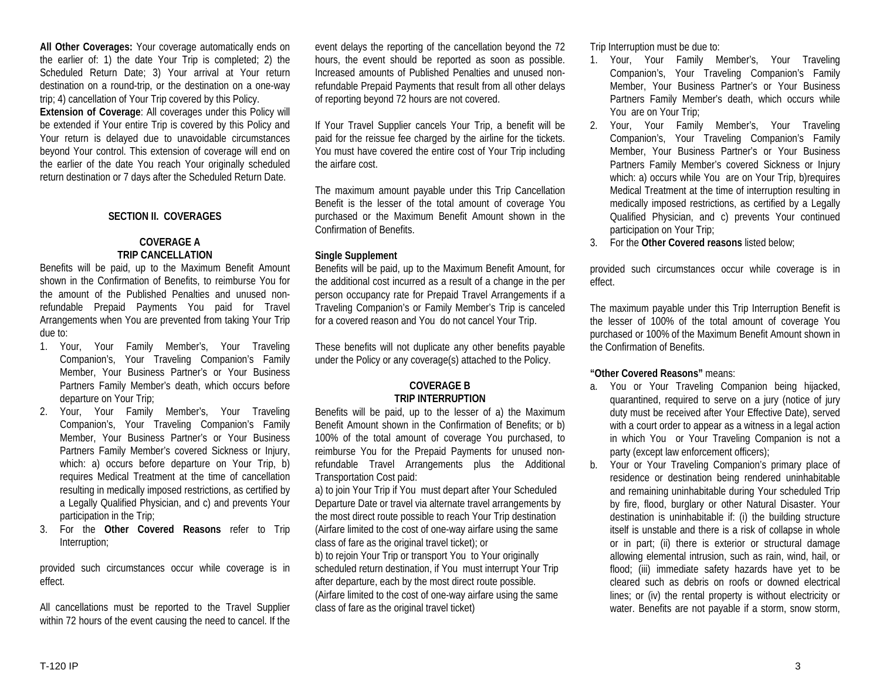**All Other Coverages:** Your coverage automatically ends on the earlier of: 1) the date Your Trip is completed; 2) the Scheduled Return Date; 3) Your arrival at Your return destination on a round-trip, or the destination on a one-way trip; 4) cancellation of Your Trip covered by this Policy.

**Extension of Coverage**: All coverages under this Policy will be extended if Your entire Trip is covered by this Policy and Your return is delayed due to unavoidable circumstances beyond Your control. This extension of coverage will end on the earlier of the date You reach Your originally scheduled return destination or 7 days after the Scheduled Return Date.

#### **SECTION II. COVERAGES**

### **COVERAGE A TRIP CANCELLATION**

Benefits will be paid, up to the Maximum Benefit Amount shown in the Confirmation of Benefits, to reimburse You for the amount of the Published Penalties and unused nonrefundable Prepaid Payments You paid for Travel Arrangements when You are prevented from taking Your Trip due to:

- 1. Your, Your Family Member's, Your Traveling Companion's, Your Traveling Companion's Family Member, Your Business Partner's or Your Business Partners Family Member's death, which occurs before departure on Your Trip;
- 2. Your, Your Family Member's, Your Traveling Companion's, Your Traveling Companion's Family Member, Your Business Partner's or Your Business Partners Family Member's covered Sickness or Injury, which: a) occurs before departure on Your Trip, b) requires Medical Treatment at the time of cancellation resulting in medically imposed restrictions, as certified by a Legally Qualified Physician, and c) and prevents Your participation in the Trip;
- 3. For the **Other Covered Reasons** refer to Trip Interruption;

provided such circumstances occur while coverage is in effect.

All cancellations must be reported to the Travel Supplier within 72 hours of the event causing the need to cancel. If the

event delays the reporting of the cancellation beyond the 72 hours, the event should be reported as soon as possible. Increased amounts of Published Penalties and unused nonrefundable Prepaid Payments that result from all other delays of reporting beyond 72 hours are not covered.

If Your Travel Supplier cancels Your Trip, a benefit will be paid for the reissue fee charged by the airline for the tickets. You must have covered the entire cost of Your Trip including the airfare cost.

The maximum amount payable under this Trip Cancellation Benefit is the lesser of the total amount of coverage You purchased or the Maximum Benefit Amount shown in the Confirmation of Benefits.

### **Single Supplement**

Benefits will be paid, up to the Maximum Benefit Amount, for the additional cost incurred as a result of a change in the per person occupancy rate for Prepaid Travel Arrangements if a Traveling Companion's or Family Member's Trip is canceled for a covered reason and You do not cancel Your Trip.

These benefits will not duplicate any other benefits payable under the Policy or any coverage(s) attached to the Policy.

# **COVERAGE B TRIP INTERRUPTION**

Benefits will be paid, up to the lesser of a) the Maximum Benefit Amount shown in the Confirmation of Benefits; or b) 100% of the total amount of coverage You purchased, to reimburse You for the Prepaid Payments for unused nonrefundable Travel Arrangements plus the Additional Transportation Cost paid:

a) to join Your Trip if You must depart after Your Scheduled Departure Date or travel via alternate travel arrangements by the most direct route possible to reach Your Trip destination (Airfare limited to the cost of one-way airfare using the same class of fare as the original travel ticket); or b) to rejoin Your Trip or transport You to Your originally scheduled return destination, if You must interrupt Your Trip after departure, each by the most direct route possible. (Airfare limited to the cost of one-way airfare using the same

class of fare as the original travel ticket)

Trip Interruption must be due to:

- 1. Your, Your Family Member's, Your Traveling Companion's, Your Traveling Companion's Family Member, Your Business Partner's or Your Business Partners Family Member's death, which occurs while You are on Your Trip;
- 2. Your, Your Family Member's, Your Traveling Companion's, Your Traveling Companion's Family Member, Your Business Partner's or Your Business Partners Family Member's covered Sickness or Injury which: a) occurs while You are on Your Trip, b) requires Medical Treatment at the time of interruption resulting in medically imposed restrictions, as certified by a Legally Qualified Physician, and c) prevents Your continued participation on Your Trip;
- 3. For the **Other Covered reasons** listed below;

provided such circumstances occur while coverage is in effect.

The maximum payable under this Trip Interruption Benefit is the lesser of 100% of the total amount of coverage You purchased or 100% of the Maximum Benefit Amount shown in the Confirmation of Benefits.

#### **"Other Covered Reasons"** means:

- a. You or Your Traveling Companion being hijacked, quarantined, required to serve on a jury (notice of jury duty must be received after Your Effective Date), served with a court order to appear as a witness in a legal action in which You or Your Traveling Companion is not a party (except law enforcement officers);
- b. Your or Your Traveling Companion's primary place of residence or destination being rendered uninhabitable and remaining uninhabitable during Your scheduled Trip by fire, flood, burglary or other Natural Disaster. Your destination is uninhabitable if: (i) the building structure itself is unstable and there is a risk of collapse in whole or in part; (ii) there is exterior or structural damage allowing elemental intrusion, such as rain, wind, hail, or flood; (iii) immediate safety hazards have yet to be cleared such as debris on roofs or downed electrical lines; or (iv) the rental property is without electricity or water. Benefits are not payable if a storm, snow storm,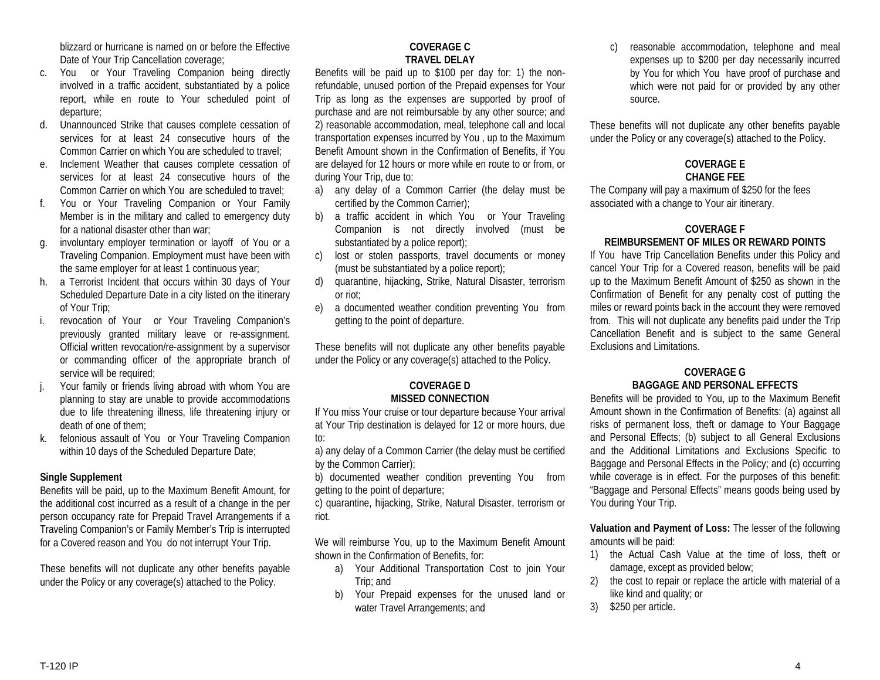blizzard or hurricane is named on or before the Effective Date of Your Trip Cancellation coverage;

- c. You or Your Traveling Companion being directly involved in a traffic accident, substantiated by a police report, while en route to Your scheduled point of departure;
- d. Unannounced Strike that causes complete cessation of services for at least 24 consecutive hours of the Common Carrier on which You are scheduled to travel;
- e. Inclement Weather that causes complete cessation of services for at least 24 consecutive hours of the Common Carrier on which You are scheduled to travel;
- f. You or Your Traveling Companion or Your Family Member is in the military and called to emergency duty for a national disaster other than war;
- g. involuntary employer termination or layoff of You or a Traveling Companion. Employment must have been with the same employer for at least 1 continuous year;
- h. a Terrorist Incident that occurs within 30 days of Your Scheduled Departure Date in a city listed on the itinerary of Your Trip;
- i. revocation of Your or Your Traveling Companion's previously granted military leave or re-assignment. Official written revocation/re-assignment by a supervisor or commanding officer of the appropriate branch of service will be required;
- j. Your family or friends living abroad with whom You are planning to stay are unable to provide accommodations due to life threatening illness, life threatening injury or death of one of them;
- k. felonious assault of You or Your Traveling Companion within 10 days of the Scheduled Departure Date;

# **Single Supplement**

Benefits will be paid, up to the Maximum Benefit Amount, for the additional cost incurred as a result of a change in the per person occupancy rate for Prepaid Travel Arrangements if a Traveling Companion's or Family Member's Trip is interrupted for a Covered reason and You do not interrupt Your Trip.

These benefits will not duplicate any other benefits payable under the Policy or any coverage(s) attached to the Policy.

# **COVERAGE C TRAVEL DELAY**

Benefits will be paid up to \$100 per day for: 1) the nonrefundable, unused portion of the Prepaid expenses for Your Trip as long as the expenses are supported by proof of purchase and are not reimbursable by any other source; and 2) reasonable accommodation, meal, telephone call and local transportation expenses incurred by You , up to the Maximum Benefit Amount shown in the Confirmation of Benefits, if You are delayed for 12 hours or more while en route to or from, or during Your Trip, due to:

- a) any delay of a Common Carrier (the delay must be certified by the Common Carrier);
- b) a traffic accident in which You or Your Traveling Companion is not directly involved (must be substantiated by a police report);
- c) lost or stolen passports, travel documents or money (must be substantiated by a police report);
- d) quarantine, hijacking, Strike, Natural Disaster, terrorism or riot;
- e) a documented weather condition preventing You from getting to the point of departure.

These benefits will not duplicate any other benefits payable under the Policy or any coverage(s) attached to the Policy.

# **COVERAGE D MISSED CONNECTION**

If You miss Your cruise or tour departure because Your arrival at Your Trip destination is delayed for 12 or more hours, due to:

a) any delay of a Common Carrier (the delay must be certified by the Common Carrier);

b) documented weather condition preventing You from getting to the point of departure;

c) quarantine, hijacking, Strike, Natural Disaster, terrorism or riot.

We will reimburse You, up to the Maximum Benefit Amount shown in the Confirmation of Benefits, for:

- a) Your Additional Transportation Cost to join Your Trip; and
- b) Your Prepaid expenses for the unused land or water Travel Arrangements; and

c) reasonable accommodation, telephone and meal expenses up to \$200 per day necessarily incurred by You for which You have proof of purchase and which were not paid for or provided by any other source.

These benefits will not duplicate any other benefits payable under the Policy or any coverage(s) attached to the Policy.

# **COVERAGE E CHANGE FEE**

The Company will pay a maximum of \$250 for the fees associated with a change to Your air itinerary.

# **COVERAGE F**

# **REIMBURSEMENT OF MILES OR REWARD POINTS**

If You have Trip Cancellation Benefits under this Policy and cancel Your Trip for a Covered reason, benefits will be paid up to the Maximum Benefit Amount of \$250 as shown in the Confirmation of Benefit for any penalty cost of putting the miles or reward points back in the account they were removed from. This will not duplicate any benefits paid under the Trip Cancellation Benefit and is subject to the same General Exclusions and Limitations.

# **COVERAGE G BAGGAGE AND PERSONAL EFFECTS**

Benefits will be provided to You, up to the Maximum Benefit Amount shown in the Confirmation of Benefits: (a) against all risks of permanent loss, theft or damage to Your Baggage and Personal Effects; (b) subject to all General Exclusions and the Additional Limitations and Exclusions Specific to Baggage and Personal Effects in the Policy; and (c) occurring while coverage is in effect. For the purposes of this benefit: "Baggage and Personal Effects" means goods being used by You during Your Trip.

**Valuation and Payment of Loss:** The lesser of the following amounts will be paid:

- 1) the Actual Cash Value at the time of loss, theft or damage, except as provided below;
- 2) the cost to repair or replace the article with material of a like kind and quality; or
- 3) \$250 per article.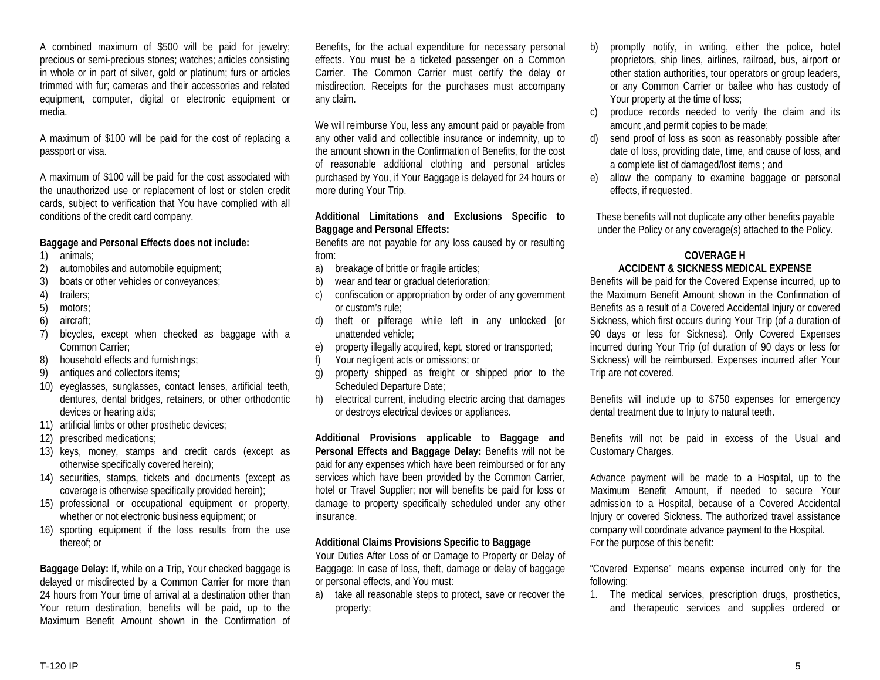A combined maximum of \$500 will be paid for jewelry; precious or semi-precious stones; watches; articles consisting in whole or in part of silver, gold or platinum; furs or articles trimmed with fur; cameras and their accessories and related equipment, computer, digital or electronic equipment or media.

A maximum of \$100 will be paid for the cost of replacing a passport or visa.

A maximum of \$100 will be paid for the cost associated with the unauthorized use or replacement of lost or stolen credit cards, subject to verification that You have complied with all conditions of the credit card company.

### **Baggage and Personal Effects does not include:**

- 1) animals;
- 2) automobiles and automobile equipment;
- 3) boats or other vehicles or conveyances;
- 4) trailers;
- 5) motors;
- 6) aircraft;
- 7) bicycles, except when checked as baggage with a Common Carrier;
- 8) household effects and furnishings;
- 9) antiques and collectors items;
- 10) eyeglasses, sunglasses, contact lenses, artificial teeth, dentures, dental bridges, retainers, or other orthodontic devices or hearing aids;
- 11) artificial limbs or other prosthetic devices;
- 12) prescribed medications;
- 13) keys, money, stamps and credit cards (except as otherwise specifically covered herein);
- 14) securities, stamps, tickets and documents (except as coverage is otherwise specifically provided herein);
- 15) professional or occupational equipment or property, whether or not electronic business equipment; or
- 16) sporting equipment if the loss results from the use thereof; or

**Baggage Delay:** If, while on a Trip, Your checked baggage is delayed or misdirected by a Common Carrier for more than 24 hours from Your time of arrival at a destination other than Your return destination, benefits will be paid, up to the Maximum Benefit Amount shown in the Confirmation of

Benefits, for the actual expenditure for necessary personal effects. You must be a ticketed passenger on a Common Carrier. The Common Carrier must certify the delay or misdirection. Receipts for the purchases must accompany any claim.

We will reimburse You, less any amount paid or payable from any other valid and collectible insurance or indemnity, up to the amount shown in the Confirmation of Benefits, for the cost of reasonable additional clothing and personal articles purchased by You, if Your Baggage is delayed for 24 hours or more during Your Trip.

#### **Additional Limitations and Exclusions Specific to Baggage and Personal Effects:**

Benefits are not payable for any loss caused by or resulting from:

- a) breakage of brittle or fragile articles;
- b) wear and tear or gradual deterioration;
- c) confiscation or appropriation by order of any government or custom's rule;
- d) theft or pilferage while left in any unlocked [or unattended vehicle;
- e) property illegally acquired, kept, stored or transported;
- f) Your negligent acts or omissions; or
- g) property shipped as freight or shipped prior to the Scheduled Departure Date;
- h) electrical current, including electric arcing that damages or destroys electrical devices or appliances.

**Additional Provisions applicable to Baggage and Personal Effects and Baggage Delay:** Benefits will not be paid for any expenses which have been reimbursed or for any services which have been provided by the Common Carrier, hotel or Travel Supplier; nor will benefits be paid for loss or damage to property specifically scheduled under any other insurance.

# **Additional Claims Provisions Specific to Baggage**

Your Duties After Loss of or Damage to Property or Delay of Baggage: In case of loss, theft, damage or delay of baggage or personal effects, and You must:

a) take all reasonable steps to protect, save or recover the property;

- b) promptly notify, in writing, either the police, hotel proprietors, ship lines, airlines, railroad, bus, airport or other station authorities, tour operators or group leaders, or any Common Carrier or bailee who has custody of Your property at the time of loss;
- c) produce records needed to verify the claim and its amount ,and permit copies to be made;
- d) send proof of loss as soon as reasonably possible after date of loss, providing date, time, and cause of loss, and a complete list of damaged/lost items ; and
- e) allow the company to examine baggage or personal effects, if requested.

These benefits will not duplicate any other benefits payable under the Policy or any coverage(s) attached to the Policy.

### **COVERAGE H ACCIDENT & SICKNESS MEDICAL EXPENSE**

Benefits will be paid for the Covered Expense incurred, up to the Maximum Benefit Amount shown in the Confirmation of Benefits as a result of a Covered Accidental Injury or covered Sickness, which first occurs during Your Trip (of a duration of 90 days or less for Sickness). Only Covered Expenses incurred during Your Trip (of duration of 90 days or less for Sickness) will be reimbursed. Expenses incurred after Your Trip are not covered.

Benefits will include up to \$750 expenses for emergency dental treatment due to Injury to natural teeth.

Benefits will not be paid in excess of the Usual and Customary Charges.

Advance payment will be made to a Hospital, up to the Maximum Benefit Amount, if needed to secure Your admission to a Hospital, because of a Covered Accidental Injury or covered Sickness. The authorized travel assistance company will coordinate advance payment to the Hospital. For the purpose of this benefit:

"Covered Expense" means expense incurred only for the following:

1. The medical services, prescription drugs, prosthetics, and therapeutic services and supplies ordered or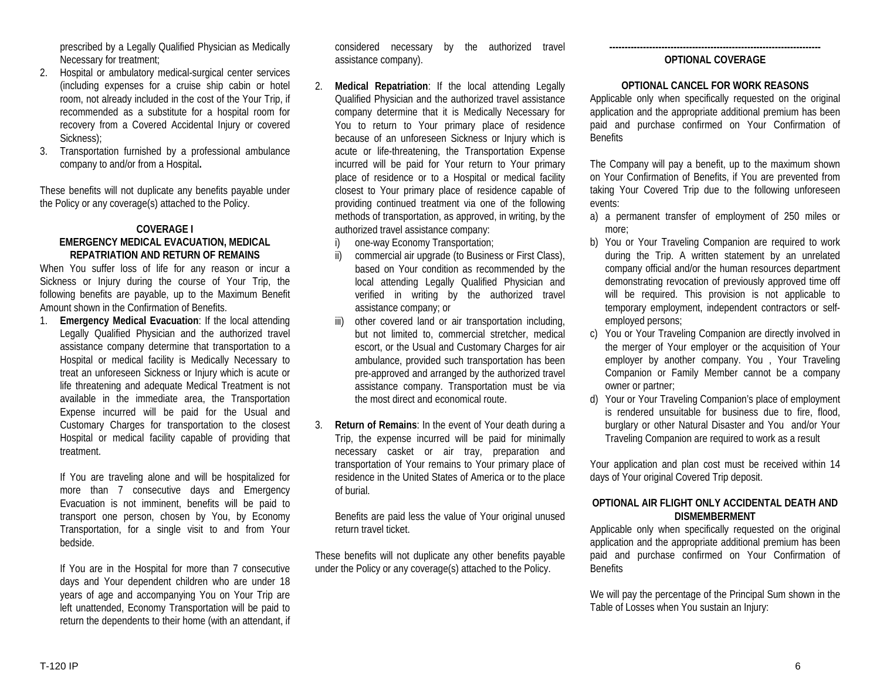prescribed by a Legally Qualified Physician as Medically Necessary for treatment;

- 2. Hospital or ambulatory medical-surgical center services (including expenses for a cruise ship cabin or hotel room, not already included in the cost of the Your Trip, if recommended as a substitute for a hospital room for recovery from a Covered Accidental Injury or covered Sickness):
- 3. Transportation furnished by a professional ambulance company to and/or from a Hospital**.**

These benefits will not duplicate any benefits payable under the Policy or any coverage(s) attached to the Policy.

### **COVERAGE I EMERGENCY MEDICAL EVACUATION, MEDICAL REPATRIATION AND RETURN OF REMAINS**

When You suffer loss of life for any reason or incur a Sickness or Injury during the course of Your Trip, the following benefits are payable, up to the Maximum Benefit Amount shown in the Confirmation of Benefits.

1. **Emergency Medical Evacuation**: If the local attending Legally Qualified Physician and the authorized travel assistance company determine that transportation to a Hospital or medical facility is Medically Necessary to treat an unforeseen Sickness or Injury which is acute or life threatening and adequate Medical Treatment is not available in the immediate area, the Transportation Expense incurred will be paid for the Usual and Customary Charges for transportation to the closest Hospital or medical facility capable of providing that treatment.

If You are traveling alone and will be hospitalized for more than 7 consecutive days and Emergency Evacuation is not imminent, benefits will be paid to transport one person, chosen by You, by Economy Transportation, for a single visit to and from Your bedside.

If You are in the Hospital for more than 7 consecutive days and Your dependent children who are under 18 years of age and accompanying You on Your Trip are left unattended, Economy Transportation will be paid to return the dependents to their home (with an attendant, if

considered necessary by the authorized travel assistance company).

- 2. **Medical Repatriation**: If the local attending Legally Qualified Physician and the authorized travel assistance company determine that it is Medically Necessary for You to return to Your primary place of residence because of an unforeseen Sickness or Injury which is acute or life-threatening, the Transportation Expense incurred will be paid for Your return to Your primary place of residence or to a Hospital or medical facility closest to Your primary place of residence capable of providing continued treatment via one of the following methods of transportation, as approved, in writing, by the authorized travel assistance company:
	- i) one-way Economy Transportation;
	- ii) commercial air upgrade (to Business or First Class), based on Your condition as recommended by the local attending Legally Qualified Physician and verified in writing by the authorized travel assistance company; or
	- iii) other covered land or air transportation including, but not limited to, commercial stretcher, medical escort, or the Usual and Customary Charges for air ambulance, provided such transportation has been pre-approved and arranged by the authorized travel assistance company. Transportation must be via the most direct and economical route.
- 3. **Return of Remains**: In the event of Your death during a Trip, the expense incurred will be paid for minimally necessary casket or air tray, preparation and transportation of Your remains to Your primary place of residence in the United States of America or to the place of burial.

Benefits are paid less the value of Your original unused return travel ticket.

These benefits will not duplicate any other benefits payable under the Policy or any coverage(s) attached to the Policy.

#### **--------------------------------------------------------------------- OPTIONAL COVERAGE**

# **OPTIONAL CANCEL FOR WORK REASONS**

Applicable only when specifically requested on the original application and the appropriate additional premium has been paid and purchase confirmed on Your Confirmation of **Benefits** 

The Company will pay a benefit, up to the maximum shown on Your Confirmation of Benefits, if You are prevented from taking Your Covered Trip due to the following unforeseen events:

- a) a permanent transfer of employment of 250 miles or more;
- b) You or Your Traveling Companion are required to work during the Trip. A written statement by an unrelated company official and/or the human resources department demonstrating revocation of previously approved time off will be required. This provision is not applicable to temporary employment, independent contractors or selfemployed persons;
- c) You or Your Traveling Companion are directly involved in the merger of Your employer or the acquisition of Your employer by another company. You , Your Traveling Companion or Family Member cannot be a company owner or partner;
- d) Your or Your Traveling Companion's place of employment is rendered unsuitable for business due to fire, flood, burglary or other Natural Disaster and You and/or Your Traveling Companion are required to work as a result

Your application and plan cost must be received within 14 days of Your original Covered Trip deposit.

# **OPTIONAL AIR FLIGHT ONLY ACCIDENTAL DEATH AND DISMEMBERMENT**

Applicable only when specifically requested on the original application and the appropriate additional premium has been paid and purchase confirmed on Your Confirmation of **Benefits** 

We will pay the percentage of the Principal Sum shown in the Table of Losses when You sustain an Injury: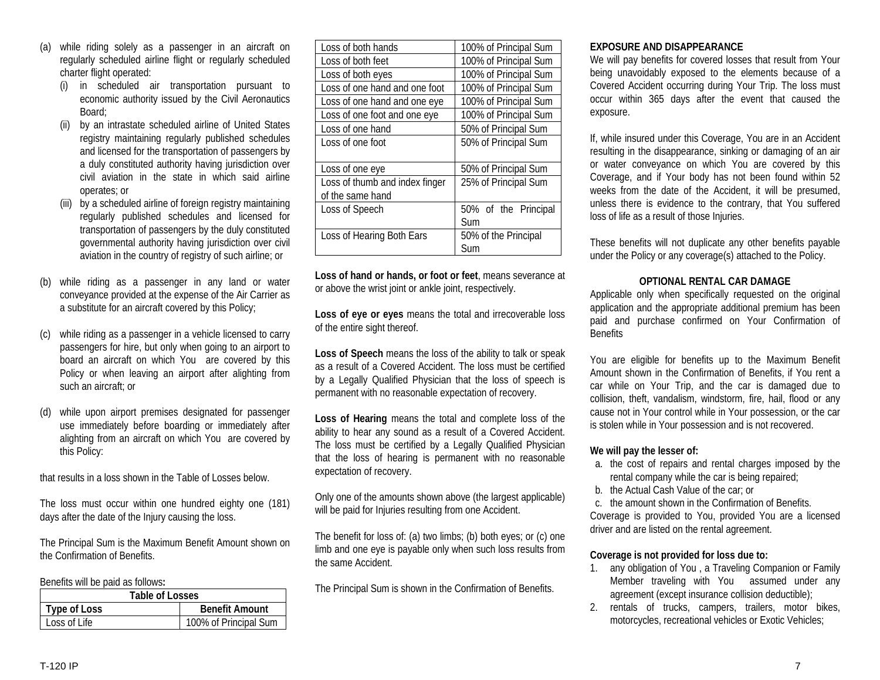- (a) while riding solely as a passenger in an aircraft on regularly scheduled airline flight or regularly scheduled charter flight operated:
	- (i) in scheduled air transportation pursuant to economic authority issued by the Civil Aeronautics Board;
	- (ii) by an intrastate scheduled airline of United States registry maintaining regularly published schedules and licensed for the transportation of passengers by a duly constituted authority having jurisdiction over civil aviation in the state in which said airline operates; or
	- by a scheduled airline of foreign registry maintaining regularly published schedules and licensed for transportation of passengers by the duly constituted governmental authority having jurisdiction over civil aviation in the country of registry of such airline; or
- (b) while riding as a passenger in any land or water conveyance provided at the expense of the Air Carrier as a substitute for an aircraft covered by this Policy;
- while riding as a passenger in a vehicle licensed to carry passengers for hire, but only when going to an airport to board an aircraft on which You are covered by this Policy or when leaving an airport after alighting from such an aircraft; or
- while upon airport premises designated for passenger use immediately before boarding or immediately after alighting from an aircraft on which You are covered by this Policy:

that results in a loss shown in the Table of Losses below.

The loss must occur within one hundred eighty one (181) days after the date of the Injury causing the loss.

The Principal Sum is the Maximum Benefit Amount shown on the Confirmation of Benefits.

Benefits will be paid as follows**:**

| Table of Losses |                       |
|-----------------|-----------------------|
| Type of Loss    | <b>Benefit Amount</b> |
| Loss of Life    | 100% of Principal Sum |

| Loss of both hands             | 100% of Principal Sum |
|--------------------------------|-----------------------|
| Loss of both feet              | 100% of Principal Sum |
| Loss of both eyes              | 100% of Principal Sum |
| Loss of one hand and one foot  | 100% of Principal Sum |
| Loss of one hand and one eye   | 100% of Principal Sum |
| Loss of one foot and one eye   | 100% of Principal Sum |
| Loss of one hand               | 50% of Principal Sum  |
| Loss of one foot               | 50% of Principal Sum  |
|                                |                       |
| Loss of one eye                | 50% of Principal Sum  |
| Loss of thumb and index finger | 25% of Principal Sum  |
| of the same hand               |                       |
| Loss of Speech                 | 50% of the Principal  |
|                                | Sum                   |
| Loss of Hearing Both Ears      | 50% of the Principal  |
|                                | Sum                   |

**Loss of hand or hands, or foot or feet**, means severance at or above the wrist joint or ankle joint, respectively.

**Loss of eye or eyes** means the total and irrecoverable loss of the entire sight thereof.

**Loss of Speech** means the loss of the ability to talk or speak as a result of a Covered Accident. The loss must be certified by a Legally Qualified Physician that the loss of speech is permanent with no reasonable expectation of recovery.

**Loss of Hearing** means the total and complete loss of the ability to hear any sound as a result of a Covered Accident. The loss must be certified by a Legally Qualified Physician that the loss of hearing is permanent with no reasonable expectation of recovery.

Only one of the amounts shown above (the largest applicable) will be paid for Injuries resulting from one Accident.

The benefit for loss of: (a) two limbs; (b) both eyes; or (c) one limb and one eye is payable only when such loss results from the same Accident.

The Principal Sum is shown in the Confirmation of Benefits.

# **EXPOSURE AND DISAPPEARANCE**

We will pay benefits for covered losses that result from Your being unavoidably exposed to the elements because of a Covered Accident occurring during Your Trip. The loss must occur within 365 days after the event that caused the exposure.

If, while insured under this Coverage, You are in an Accident resulting in the disappearance, sinking or damaging of an air or water conveyance on which You are covered by this Coverage, and if Your body has not been found within 52 weeks from the date of the Accident, it will be presumed, unless there is evidence to the contrary, that You suffered loss of life as a result of those Injuries.

These benefits will not duplicate any other benefits payable under the Policy or any coverage(s) attached to the Policy.

# **OPTIONAL RENTAL CAR DAMAGE**

Applicable only when specifically requested on the original application and the appropriate additional premium has been paid and purchase confirmed on Your Confirmation of **Benefits** 

You are eligible for benefits up to the Maximum Benefit Amount shown in the Confirmation of Benefits, if You rent a car while on Your Trip, and the car is damaged due to collision, theft, vandalism, windstorm, fire, hail, flood or any cause not in Your control while in Your possession, or the car is stolen while in Your possession and is not recovered.

# **We will pay the lesser of:**

- a. the cost of repairs and rental charges imposed by the rental company while the car is being repaired;
- b. the Actual Cash Value of the car; or

c. the amount shown in the Confirmation of Benefits. Coverage is provided to You, provided You are a licensed driver and are listed on the rental agreement.

# **Coverage is not provided for loss due to:**

- 1. any obligation of You , a Traveling Companion or Family Member traveling with You assumed under any agreement (except insurance collision deductible);
- 2. rentals of trucks, campers, trailers, motor bikes, motorcycles, recreational vehicles or Exotic Vehicles;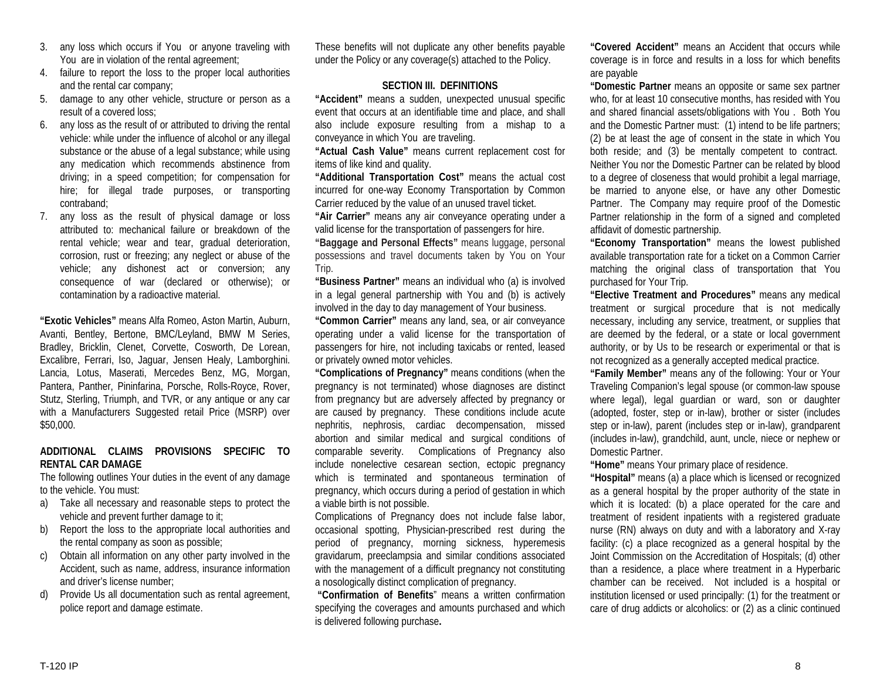- 3. any loss which occurs if You or anyone traveling with You are in violation of the rental agreement;
- 4. failure to report the loss to the proper local authorities and the rental car company;
- 5. damage to any other vehicle, structure or person as a result of a covered loss;
- 6. any loss as the result of or attributed to driving the rental vehicle: while under the influence of alcohol or any illegal substance or the abuse of a legal substance; while using any medication which recommends abstinence from driving; in a speed competition; for compensation for hire; for illegal trade purposes, or transporting contraband;
- 7. any loss as the result of physical damage or loss attributed to: mechanical failure or breakdown of the rental vehicle; wear and tear, gradual deterioration, corrosion, rust or freezing; any neglect or abuse of the vehicle; any dishonest act or conversion; any consequence of war (declared or otherwise); or contamination by a radioactive material.

**"Exotic Vehicles"** means Alfa Romeo, Aston Martin, Auburn, Avanti, Bentley, Bertone, BMC/Leyland, BMW M Series, Bradley, Bricklin, Clenet, Corvette, Cosworth, De Lorean, Excalibre, Ferrari, Iso, Jaguar, Jensen Healy, Lamborghini. Lancia, Lotus, Maserati, Mercedes Benz, MG, Morgan, Pantera, Panther, Pininfarina, Porsche, Rolls-Royce, Rover, Stutz, Sterling, Triumph, and TVR, or any antique or any car with a Manufacturers Suggested retail Price (MSRP) over \$50,000.

# **ADDITIONAL CLAIMS PROVISIONS SPECIFIC TO RENTAL CAR DAMAGE**

The following outlines Your duties in the event of any damage to the vehicle. You must:

- a) Take all necessary and reasonable steps to protect the vehicle and prevent further damage to it;
- b) Report the loss to the appropriate local authorities and the rental company as soon as possible;
- c) Obtain all information on any other party involved in the Accident, such as name, address, insurance information and driver's license number;
- d) Provide Us all documentation such as rental agreement, police report and damage estimate.

These benefits will not duplicate any other benefits payable under the Policy or any coverage(s) attached to the Policy.

# **SECTION III. DEFINITIONS**

**"Accident"** means a sudden, unexpected unusual specific event that occurs at an identifiable time and place, and shall also include exposure resulting from a mishap to a conveyance in which You are traveling.

**"Actual Cash Value"** means current replacement cost for items of like kind and quality.

**"Additional Transportation Cost"** means the actual cost incurred for one-way Economy Transportation by Common Carrier reduced by the value of an unused travel ticket.

**"Air Carrier"** means any air conveyance operating under a valid license for the transportation of passengers for hire.

**"Baggage and Personal Effects"** means luggage, personal possessions and travel documents taken by You on Your Trip.

**"Business Partner"** means an individual who (a) is involved in a legal general partnership with You and (b) is actively involved in the day to day management of Your business.

**"Common Carrier"** means any land, sea, or air conveyance operating under a valid license for the transportation of passengers for hire, not including taxicabs or rented, leased or privately owned motor vehicles.

**"Complications of Pregnancy"** means conditions (when the pregnancy is not terminated) whose diagnoses are distinct from pregnancy but are adversely affected by pregnancy or are caused by pregnancy. These conditions include acute nephritis, nephrosis, cardiac decompensation, missed abortion and similar medical and surgical conditions of comparable severity. Complications of Pregnancy also include nonelective cesarean section, ectopic pregnancy which is terminated and spontaneous termination of pregnancy, which occurs during a period of gestation in which a viable birth is not possible.

Complications of Pregnancy does not include false labor, occasional spotting, Physician-prescribed rest during the period of pregnancy, morning sickness, hyperemesis gravidarum, preeclampsia and similar conditions associated with the management of a difficult pregnancy not constituting a nosologically distinct complication of pregnancy.

**"Confirmation of Benefits**" means a written confirmation specifying the coverages and amounts purchased and which is delivered following purchase**.**

**"Covered Accident"** means an Accident that occurs while coverage is in force and results in a loss for which benefits are payable

**"Domestic Partner** means an opposite or same sex partner who, for at least 10 consecutive months, has resided with You and shared financial assets/obligations with You . Both You and the Domestic Partner must: (1) intend to be life partners; (2) be at least the age of consent in the state in which You both reside; and (3) be mentally competent to contract. Neither You nor the Domestic Partner can be related by blood to a degree of closeness that would prohibit a legal marriage, be married to anyone else, or have any other Domestic Partner. The Company may require proof of the Domestic Partner relationship in the form of a signed and completed affidavit of domestic partnership.

**"Economy Transportation"** means the lowest published available transportation rate for a ticket on a Common Carrier matching the original class of transportation that You purchased for Your Trip.

**"Elective Treatment and Procedures"** means any medical treatment or surgical procedure that is not medically necessary, including any service, treatment, or supplies that are deemed by the federal, or a state or local government authority, or by Us to be research or experimental or that is not recognized as a generally accepted medical practice.

**"Family Member"** means any of the following: Your or Your Traveling Companion's legal spouse (or common-law spouse where legal), legal guardian or ward, son or daughter (adopted, foster, step or in-law), brother or sister (includes step or in-law), parent (includes step or in-law), grandparent (includes in-law), grandchild, aunt, uncle, niece or nephew or Domestic Partner.

**"Home"** means Your primary place of residence.

**"Hospital"** means (a) a place which is licensed or recognized as a general hospital by the proper authority of the state in which it is located: (b) a place operated for the care and treatment of resident inpatients with a registered graduate nurse (RN) always on duty and with a laboratory and X-ray facility: (c) a place recognized as a general hospital by the Joint Commission on the Accreditation of Hospitals; (d) other than a residence, a place where treatment in a Hyperbaric chamber can be received. Not included is a hospital or institution licensed or used principally: (1) for the treatment or care of drug addicts or alcoholics: or (2) as a clinic continued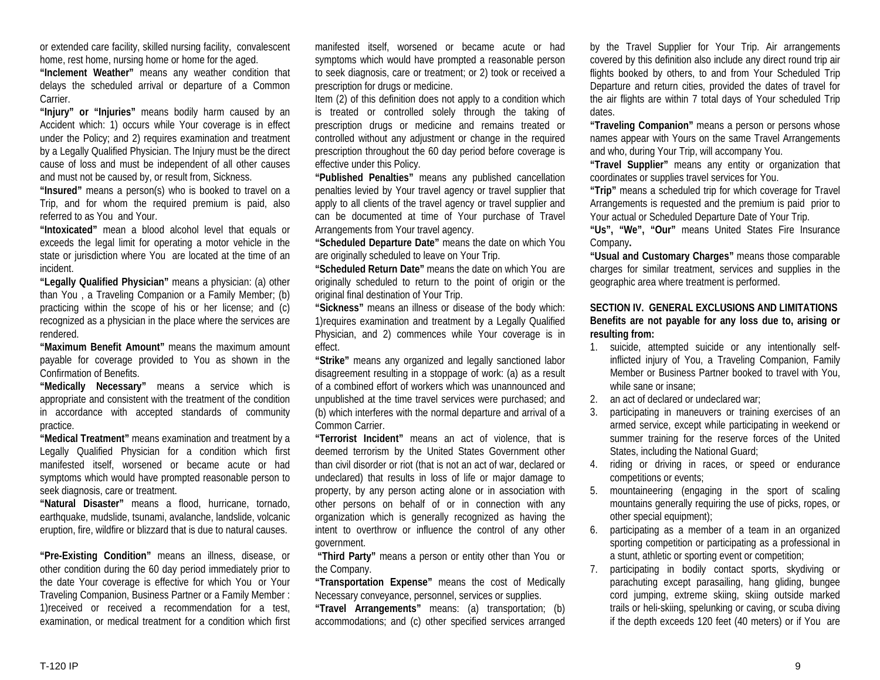or extended care facility, skilled nursing facility, convalescent home, rest home, nursing home or home for the aged.

**"Inclement Weather"** means any weather condition that delays the scheduled arrival or departure of a Common Carrier.

**"Injury" or "Injuries"** means bodily harm caused by an Accident which: 1) occurs while Your coverage is in effect under the Policy; and 2) requires examination and treatment by a Legally Qualified Physician. The Injury must be the direct cause of loss and must be independent of all other causes and must not be caused by, or result from, Sickness.

**"Insured"** means a person(s) who is booked to travel on a Trip, and for whom the required premium is paid, also referred to as You and Your.

**"Intoxicated"** mean a blood alcohol level that equals or exceeds the legal limit for operating a motor vehicle in the state or jurisdiction where You are located at the time of an incident.

**"Legally Qualified Physician"** means a physician: (a) other than You , a Traveling Companion or a Family Member; (b) practicing within the scope of his or her license; and (c) recognized as a physician in the place where the services are rendered.

**"Maximum Benefit Amount"** means the maximum amount payable for coverage provided to You as shown in the Confirmation of Benefits.

**"Medically Necessary"** means a service which is appropriate and consistent with the treatment of the condition in accordance with accepted standards of community practice.

**"Medical Treatment"** means examination and treatment by a Legally Qualified Physician for a condition which first manifested itself, worsened or became acute or had symptoms which would have prompted reasonable person to seek diagnosis, care or treatment.

**"Natural Disaster"** means a flood, hurricane, tornado, earthquake, mudslide, tsunami, avalanche, landslide, volcanic eruption, fire, wildfire or blizzard that is due to natural causes.

**"Pre-Existing Condition"** means an illness, disease, or other condition during the 60 day period immediately prior to the date Your coverage is effective for which You or Your Traveling Companion, Business Partner or a Family Member : 1)received or received a recommendation for a test, examination, or medical treatment for a condition which first

manifested itself, worsened or became acute or had symptoms which would have prompted a reasonable person to seek diagnosis, care or treatment; or 2) took or received a prescription for drugs or medicine.

Item (2) of this definition does not apply to a condition which is treated or controlled solely through the taking of prescription drugs or medicine and remains treated or controlled without any adjustment or change in the required prescription throughout the 60 day period before coverage is effective under this Policy.

**"Published Penalties"** means any published cancellation penalties levied by Your travel agency or travel supplier that apply to all clients of the travel agency or travel supplier and can be documented at time of Your purchase of Travel Arrangements from Your travel agency.

**"Scheduled Departure Date"** means the date on which You are originally scheduled to leave on Your Trip.

**"Scheduled Return Date"** means the date on which You are originally scheduled to return to the point of origin or the original final destination of Your Trip.

**"Sickness"** means an illness or disease of the body which: 1)requires examination and treatment by a Legally Qualified Physician, and 2) commences while Your coverage is in effect.

**"Strike"** means any organized and legally sanctioned labor disagreement resulting in a stoppage of work: (a) as a result of a combined effort of workers which was unannounced and unpublished at the time travel services were purchased; and (b) which interferes with the normal departure and arrival of a Common Carrier.

**"Terrorist Incident"** means an act of violence, that is deemed terrorism by the United States Government other than civil disorder or riot (that is not an act of war, declared or undeclared) that results in loss of life or major damage to property, by any person acting alone or in association with other persons on behalf of or in connection with any organization which is generally recognized as having the intent to overthrow or influence the control of any other government.

**"Third Party"** means a person or entity other than You or the Company.

**"Transportation Expense"** means the cost of Medically Necessary conveyance, personnel, services or supplies.

**"Travel Arrangements"** means: (a) transportation; (b) accommodations; and (c) other specified services arranged

by the Travel Supplier for Your Trip. Air arrangements covered by this definition also include any direct round trip air flights booked by others, to and from Your Scheduled Trip Departure and return cities, provided the dates of travel for the air flights are within 7 total days of Your scheduled Trip dates.

**"Traveling Companion"** means a person or persons whose names appear with Yours on the same Travel Arrangements and who, during Your Trip, will accompany You.

**"Travel Supplier"** means any entity or organization that coordinates or supplies travel services for You.

**"Trip"** means a scheduled trip for which coverage for Travel Arrangements is requested and the premium is paid prior to Your actual or Scheduled Departure Date of Your Trip.

**"Us", "We", "Our"** means United States Fire Insurance Company**.** 

**"Usual and Customary Charges"** means those comparable charges for similar treatment, services and supplies in the geographic area where treatment is performed.

**SECTION IV. GENERAL EXCLUSIONS AND LIMITATIONS Benefits are not payable for any loss due to, arising or resulting from:** 

- 1. suicide, attempted suicide or any intentionally selfinflicted injury of You, a Traveling Companion, Family Member or Business Partner booked to travel with You, while sane or insane;
- 2. an act of declared or undeclared war;
- 3. participating in maneuvers or training exercises of an armed service, except while participating in weekend or summer training for the reserve forces of the United States, including the National Guard;
- 4. riding or driving in races, or speed or endurance competitions or events;
- 5. mountaineering (engaging in the sport of scaling mountains generally requiring the use of picks, ropes, or other special equipment);
- 6. participating as a member of a team in an organized sporting competition or participating as a professional in a stunt, athletic or sporting event or competition;
- 7. participating in bodily contact sports, skydiving or parachuting except parasailing, hang gliding, bungee cord jumping, extreme skiing, skiing outside marked trails or heli-skiing, spelunking or caving, or scuba diving if the depth exceeds 120 feet (40 meters) or if You are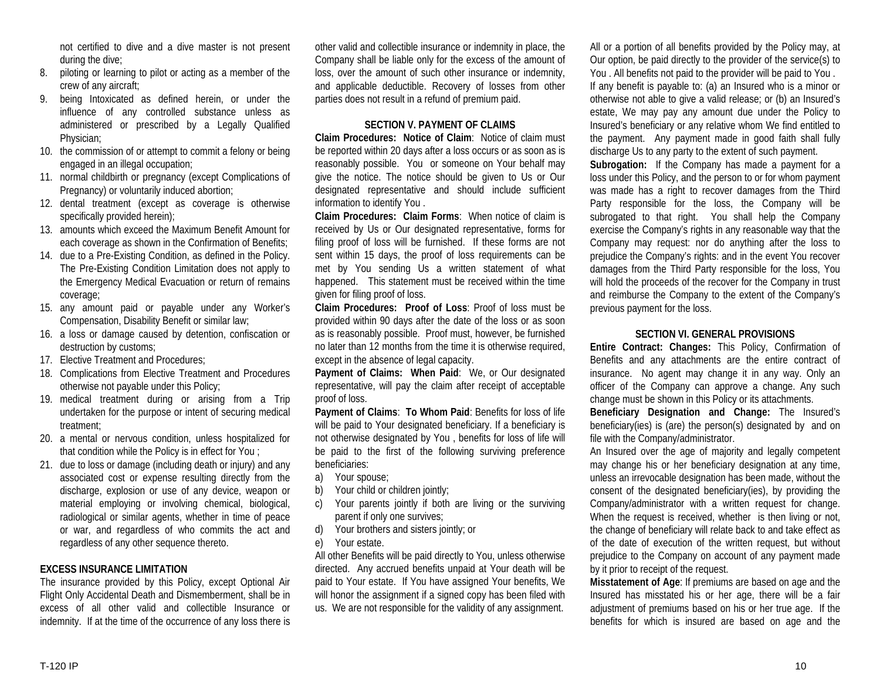not certified to dive and a dive master is not present during the dive;

- 8. piloting or learning to pilot or acting as a member of the crew of any aircraft;
- 9. being Intoxicated as defined herein, or under the influence of any controlled substance unless as administered or prescribed by a Legally Qualified Physician;
- 10. the commission of or attempt to commit a felony or being engaged in an illegal occupation;
- 11. normal childbirth or pregnancy (except Complications of Pregnancy) or voluntarily induced abortion;
- 12. dental treatment (except as coverage is otherwise specifically provided herein);
- 13. amounts which exceed the Maximum Benefit Amount for each coverage as shown in the Confirmation of Benefits;
- 14. due to a Pre-Existing Condition, as defined in the Policy. The Pre-Existing Condition Limitation does not apply to the Emergency Medical Evacuation or return of remains coverage;
- 15. any amount paid or payable under any Worker's Compensation, Disability Benefit or similar law;
- 16. a loss or damage caused by detention, confiscation or destruction by customs;
- 17. Elective Treatment and Procedures;
- 18. Complications from Elective Treatment and Procedures otherwise not payable under this Policy;
- 19. medical treatment during or arising from a Trip undertaken for the purpose or intent of securing medical treatment;
- 20. a mental or nervous condition, unless hospitalized for that condition while the Policy is in effect for You ;
- 21. due to loss or damage (including death or injury) and any associated cost or expense resulting directly from the discharge, explosion or use of any device, weapon or material employing or involving chemical, biological, radiological or similar agents, whether in time of peace or war, and regardless of who commits the act and regardless of any other sequence thereto.

### **EXCESS INSURANCE LIMITATION**

The insurance provided by this Policy, except Optional Air Flight Only Accidental Death and Dismemberment, shall be in excess of all other valid and collectible Insurance or indemnity. If at the time of the occurrence of any loss there is

other valid and collectible insurance or indemnity in place, the Company shall be liable only for the excess of the amount of loss, over the amount of such other insurance or indemnity, and applicable deductible. Recovery of losses from other parties does not result in a refund of premium paid.

#### **SECTION V. PAYMENT OF CLAIMS**

**Claim Procedures: Notice of Claim**: Notice of claim must be reported within 20 days after a loss occurs or as soon as is reasonably possible. You or someone on Your behalf may give the notice. The notice should be given to Us or Our designated representative and should include sufficient information to identify You .

**Claim Procedures: Claim Forms**: When notice of claim is received by Us or Our designated representative, forms for filing proof of loss will be furnished. If these forms are not sent within 15 days, the proof of loss requirements can be met by You sending Us a written statement of what happened. This statement must be received within the time given for filing proof of loss.

**Claim Procedures: Proof of Loss**: Proof of loss must be provided within 90 days after the date of the loss or as soon as is reasonably possible. Proof must, however, be furnished no later than 12 months from the time it is otherwise required, except in the absence of legal capacity.

**Payment of Claims: When Paid**: We, or Our designated representative, will pay the claim after receipt of acceptable proof of loss.

**Payment of Claims**: **To Whom Paid**: Benefits for loss of life will be paid to Your designated beneficiary. If a beneficiary is not otherwise designated by You , benefits for loss of life will be paid to the first of the following surviving preference beneficiaries:

- a) Your spouse;
- b) Your child or children jointly;
- c) Your parents jointly if both are living or the surviving parent if only one survives;
- d) Your brothers and sisters jointly; or
- e) Your estate.

All other Benefits will be paid directly to You, unless otherwise directed. Any accrued benefits unpaid at Your death will be paid to Your estate. If You have assigned Your benefits, We will honor the assignment if a signed copy has been filed with us. We are not responsible for the validity of any assignment.

All or a portion of all benefits provided by the Policy may, at Our option, be paid directly to the provider of the service(s) to You . All benefits not paid to the provider will be paid to You . If any benefit is payable to: (a) an Insured who is a minor or otherwise not able to give a valid release; or (b) an Insured's estate, We may pay any amount due under the Policy to Insured's beneficiary or any relative whom We find entitled to the payment. Any payment made in good faith shall fully discharge Us to any party to the extent of such payment.

**Subrogation:** If the Company has made a payment for a loss under this Policy, and the person to or for whom payment was made has a right to recover damages from the Third Party responsible for the loss, the Company will be subrogated to that right. You shall help the Company exercise the Company's rights in any reasonable way that the Company may request: nor do anything after the loss to prejudice the Company's rights: and in the event You recover damages from the Third Party responsible for the loss, You will hold the proceeds of the recover for the Company in trust and reimburse the Company to the extent of the Company's previous payment for the loss.

#### **SECTION VI. GENERAL PROVISIONS**

**Entire Contract: Changes:** This Policy, Confirmation of Benefits and any attachments are the entire contract of insurance. No agent may change it in any way. Only an officer of the Company can approve a change. Any such change must be shown in this Policy or its attachments.

**Beneficiary Designation and Change:** The Insured's beneficiary(ies) is (are) the person(s) designated by and on file with the Company/administrator.

An Insured over the age of majority and legally competent may change his or her beneficiary designation at any time, unless an irrevocable designation has been made, without the consent of the designated beneficiary(ies), by providing the Company/administrator with a written request for change. When the request is received, whether is then living or not, the change of beneficiary will relate back to and take effect as of the date of execution of the written request, but without prejudice to the Company on account of any payment made by it prior to receipt of the request.

**Misstatement of Age**: If premiums are based on age and the Insured has misstated his or her age, there will be a fair adjustment of premiums based on his or her true age. If the benefits for which is insured are based on age and the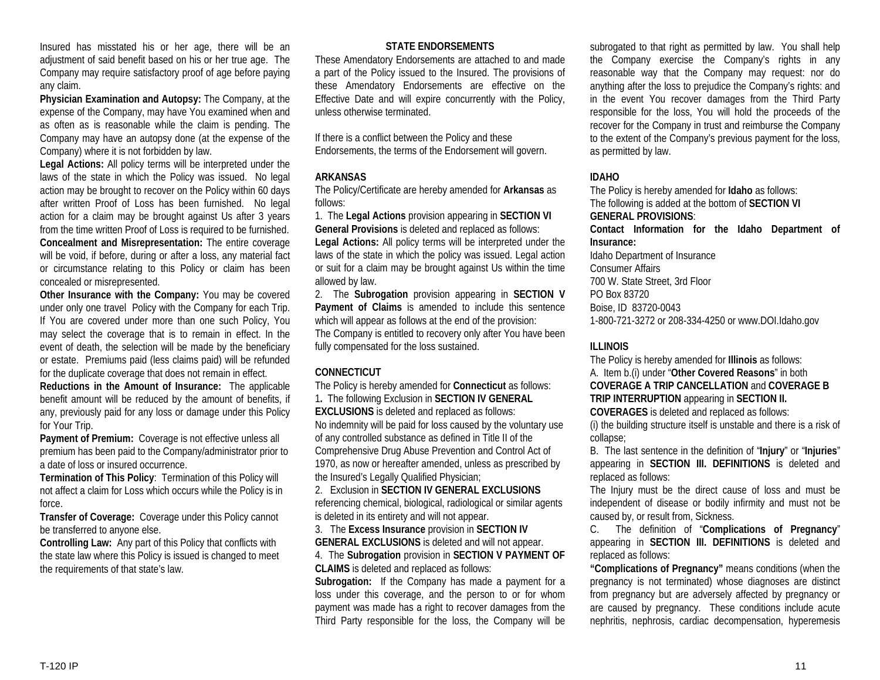Insured has misstated his or her age, there will be an adjustment of said benefit based on his or her true age. The Company may require satisfactory proof of age before paying any claim.

**Physician Examination and Autopsy:** The Company, at the expense of the Company, may have You examined when and as often as is reasonable while the claim is pending. The Company may have an autopsy done (at the expense of the Company) where it is not forbidden by law.

**Legal Actions:** All policy terms will be interpreted under the laws of the state in which the Policy was issued. No legal action may be brought to recover on the Policy within 60 days after written Proof of Loss has been furnished. No legal action for a claim may be brought against Us after 3 years from the time written Proof of Loss is required to be furnished. **Concealment and Misrepresentation:** The entire coverage will be void, if before, during or after a loss, any material fact or circumstance relating to this Policy or claim has been concealed or misrepresented.

**Other Insurance with the Company:** You may be covered under only one travel Policy with the Company for each Trip. If You are covered under more than one such Policy, You may select the coverage that is to remain in effect. In the event of death, the selection will be made by the beneficiary or estate. Premiums paid (less claims paid) will be refunded for the duplicate coverage that does not remain in effect.

**Reductions in the Amount of Insurance:** The applicable benefit amount will be reduced by the amount of benefits, if any, previously paid for any loss or damage under this Policy for Your Trip.

**Payment of Premium:** Coverage is not effective unless all premium has been paid to the Company/administrator prior to a date of loss or insured occurrence.

**Termination of This Policy**: Termination of this Policy will not affect a claim for Loss which occurs while the Policy is in force.

**Transfer of Coverage:** Coverage under this Policy cannot be transferred to anyone else.

**Controlling Law:** Any part of this Policy that conflicts with the state law where this Policy is issued is changed to meet the requirements of that state's law.

# **STATE ENDORSEMENTS**

These Amendatory Endorsements are attached to and made a part of the Policy issued to the Insured. The provisions of these Amendatory Endorsements are effective on the Effective Date and will expire concurrently with the Policy, unless otherwise terminated.

If there is a conflict between the Policy and these Endorsements, the terms of the Endorsement will govern.

### **ARKANSAS**

The Policy/Certificate are hereby amended for **Arkansas** as follows:

1. The **Legal Actions** provision appearing in **SECTION VI General Provisions** is deleted and replaced as follows:

**Legal Actions:** All policy terms will be interpreted under the laws of the state in which the policy was issued. Legal action or suit for a claim may be brought against Us within the time allowed by law.

2. The **Subrogation** provision appearing in **SECTION V Payment of Claims** is amended to include this sentence which will appear as follows at the end of the provision: The Company is entitled to recovery only after You have been fully compensated for the loss sustained.

# **CONNECTICUT**

The Policy is hereby amended for **Connecticut** as follows: 1**.** The following Exclusion in **SECTION IV GENERAL EXCLUSIONS** is deleted and replaced as follows: No indemnity will be paid for loss caused by the voluntary use of any controlled substance as defined in Title II of the Comprehensive Drug Abuse Prevention and Control Act of 1970, as now or hereafter amended, unless as prescribed by the Insured's Legally Qualified Physician;

2. Exclusion in **SECTION IV GENERAL EXCLUSIONS** referencing chemical, biological, radiological or similar agents is deleted in its entirety and will not appear.

3. The **Excess Insurance** provision in **SECTION IV GENERAL EXCLUSIONS** is deleted and will not appear.

4. The **Subrogation** provision in **SECTION V PAYMENT OF CLAIMS** is deleted and replaced as follows:

**Subrogation:** If the Company has made a payment for a loss under this coverage, and the person to or for whom payment was made has a right to recover damages from the Third Party responsible for the loss, the Company will be

subrogated to that right as permitted by law. You shall help the Company exercise the Company's rights in any reasonable way that the Company may request: nor do anything after the loss to prejudice the Company's rights: and in the event You recover damages from the Third Party responsible for the loss, You will hold the proceeds of the recover for the Company in trust and reimburse the Company to the extent of the Company's previous payment for the loss, as permitted by law.

# **IDAHO**

The Policy is hereby amended for **Idaho** as follows: The following is added at the bottom of **SECTION VI GENERAL PROVISIONS**:

**Contact Information for the Idaho Department of Insurance:**

Idaho Department of Insurance Consumer Affairs 700 W. State Street, 3rd Floor PO Box 83720 Boise, ID 83720-0043 1-800-721-3272 or 208-334-4250 or www.DOI.Idaho.gov

# **ILLINOIS**

The Policy is hereby amended for **Illinois** as follows: A. Item b.(i) under "**Other Covered Reasons**" in both **COVERAGE A TRIP CANCELLATION** and **COVERAGE B TRIP INTERRUPTION** appearing in **SECTION II. COVERAGES** is deleted and replaced as follows:

(i) the building structure itself is unstable and there is a risk of collapse;

B. The last sentence in the definition of "**Injury**" or "**Injuries**" appearing in **SECTION III. DEFINITIONS** is deleted and replaced as follows:

The Injury must be the direct cause of loss and must be independent of disease or bodily infirmity and must not be caused by, or result from, Sickness.

C. The definition of "**Complications of Pregnancy**" appearing in **SECTION III. DEFINITIONS** is deleted and replaced as follows:

**"Complications of Pregnancy"** means conditions (when the pregnancy is not terminated) whose diagnoses are distinct from pregnancy but are adversely affected by pregnancy or are caused by pregnancy. These conditions include acute nephritis, nephrosis, cardiac decompensation, hyperemesis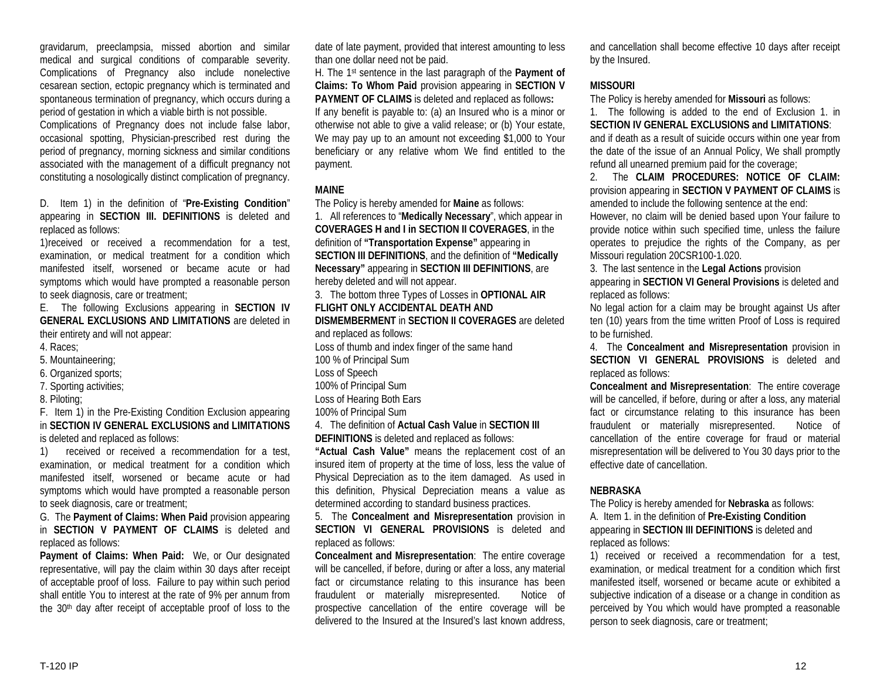gravidarum, preeclampsia, missed abortion and similar medical and surgical conditions of comparable severity. Complications of Pregnancy also include nonelective cesarean section, ectopic pregnancy which is terminated and spontaneous termination of pregnancy, which occurs during a period of gestation in which a viable birth is not possible.

Complications of Pregnancy does not include false labor, occasional spotting, Physician-prescribed rest during the period of pregnancy, morning sickness and similar conditions associated with the management of a difficult pregnancy not constituting a nosologically distinct complication of pregnancy.

D. Item 1) in the definition of "**Pre-Existing Condition**" appearing in **SECTION III. DEFINITIONS** is deleted and replaced as follows:

1)received or received a recommendation for a test, examination, or medical treatment for a condition which manifested itself, worsened or became acute or had symptoms which would have prompted a reasonable person to seek diagnosis, care or treatment;

E. The following Exclusions appearing in **SECTION IV GENERAL EXCLUSIONS AND LIMITATIONS** are deleted in their entirety and will not appear:

- 4. Races;
- 5. Mountaineering;
- 6. Organized sports;
- 7. Sporting activities;
- 8. Piloting;

F. Item 1) in the Pre-Existing Condition Exclusion appearing in **SECTION IV GENERAL EXCLUSIONS and LIMITATIONS** is deleted and replaced as follows:

1) received or received a recommendation for a test, examination, or medical treatment for a condition which manifested itself, worsened or became acute or had symptoms which would have prompted a reasonable person to seek diagnosis, care or treatment;

G. The **Payment of Claims: When Paid** provision appearing in **SECTION V PAYMENT OF CLAIMS** is deleted and replaced as follows:

**Payment of Claims: When Paid:** We, or Our designated representative, will pay the claim within 30 days after receipt of acceptable proof of loss. Failure to pay within such period shall entitle You to interest at the rate of 9% per annum from the 30th day after receipt of acceptable proof of loss to the date of late payment, provided that interest amounting to less than one dollar need not be paid.

H. The 1st sentence in the last paragraph of the **Payment of Claims: To Whom Paid** provision appearing in **SECTION V PAYMENT OF CLAIMS** is deleted and replaced as follows**:** 

If any benefit is payable to: (a) an Insured who is a minor or otherwise not able to give a valid release; or (b) Your estate, We may pay up to an amount not exceeding \$1,000 to Your beneficiary or any relative whom We find entitled to the payment.

# **MAINE**

The Policy is hereby amended for **Maine** as follows:

1. All references to "**Medically Necessary**", which appear in **COVERAGES H and I in SECTION II COVERAGES**, in the definition of **"Transportation Expense"** appearing in **SECTION III DEFINITIONS**, and the definition of **"Medically Necessary"** appearing in **SECTION III DEFINITIONS**, are hereby deleted and will not appear.

3. The bottom three Types of Losses in **OPTIONAL AIR FLIGHT ONLY ACCIDENTAL DEATH AND** 

**DISMEMBERMENT** in **SECTION II COVERAGES** are deleted and replaced as follows:

- Loss of thumb and index finger of the same hand
- 100 % of Principal Sum
- Loss of Speech
- 100% of Principal Sum
- Loss of Hearing Both Ears
- 100% of Principal Sum
- 4. The definition of **Actual Cash Value** in **SECTION III**

**DEFINITIONS** is deleted and replaced as follows:

**"Actual Cash Value"** means the replacement cost of an insured item of property at the time of loss, less the value of Physical Depreciation as to the item damaged. As used in this definition, Physical Depreciation means a value as determined according to standard business practices.

5. The **Concealment and Misrepresentation** provision in **SECTION VI GENERAL PROVISIONS** is deleted and replaced as follows:

**Concealment and Misrepresentation**: The entire coverage will be cancelled, if before, during or after a loss, any material fact or circumstance relating to this insurance has been fraudulent or materially misrepresented. Notice of prospective cancellation of the entire coverage will be delivered to the Insured at the Insured's last known address,

and cancellation shall become effective 10 days after receipt by the Insured.

# **MISSOURI**

The Policy is hereby amended for **Missouri** as follows:

1. The following is added to the end of Exclusion 1. in **SECTION IV GENERAL EXCLUSIONS and LIMITATIONS**: and if death as a result of suicide occurs within one year from the date of the issue of an Annual Policy, We shall promptly refund all unearned premium paid for the coverage;

2. The **CLAIM PROCEDURES: NOTICE OF CLAIM:** provision appearing in **SECTION V PAYMENT OF CLAIMS** is amended to include the following sentence at the end: However, no claim will be denied based upon Your failure to provide notice within such specified time, unless the failure operates to prejudice the rights of the Company, as per Missouri regulation 20CSR100-1.020.

3. The last sentence in the **Legal Actions** provision appearing in **SECTION VI General Provisions** is deleted and replaced as follows:

No legal action for a claim may be brought against Us after ten (10) years from the time written Proof of Loss is required to be furnished.

4. The **Concealment and Misrepresentation** provision in **SECTION VI GENERAL PROVISIONS** is deleted and replaced as follows:

**Concealment and Misrepresentation**: The entire coverage will be cancelled, if before, during or after a loss, any material fact or circumstance relating to this insurance has been fraudulent or materially misrepresented. Notice of cancellation of the entire coverage for fraud or material misrepresentation will be delivered to You 30 days prior to the effective date of cancellation.

### **NEBRASKA**

The Policy is hereby amended for **Nebraska** as follows: A. Item 1. in the definition of **Pre-Existing Condition** appearing in **SECTION III DEFINITIONS** is deleted and replaced as follows:

1) received or received a recommendation for a test, examination, or medical treatment for a condition which first manifested itself, worsened or became acute or exhibited a subjective indication of a disease or a change in condition as perceived by You which would have prompted a reasonable person to seek diagnosis, care or treatment;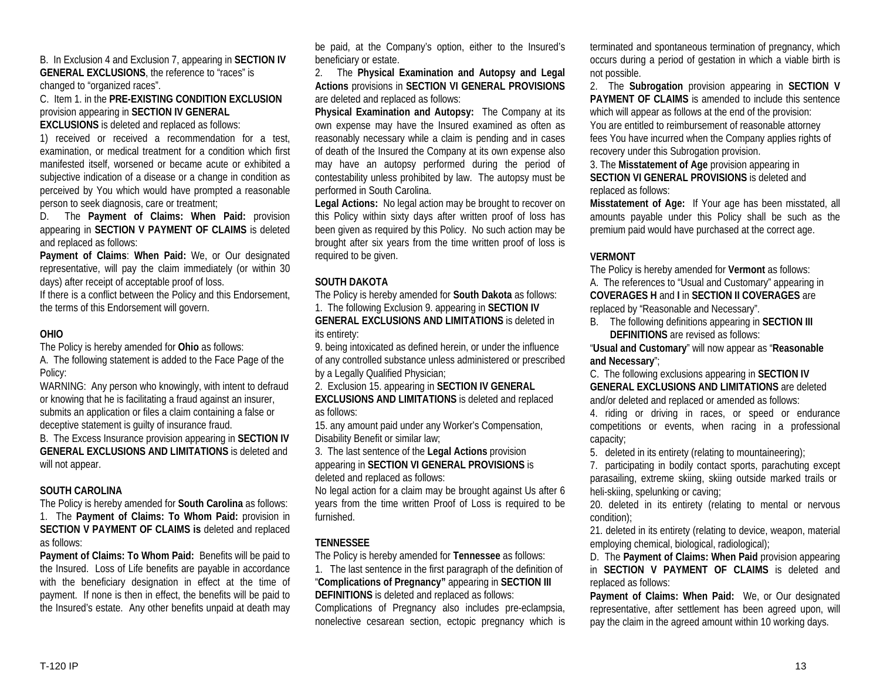B. In Exclusion 4 and Exclusion 7, appearing in **SECTION IV GENERAL EXCLUSIONS**, the reference to "races" is changed to "organized races".

C. Item 1. in the **PRE-EXISTING CONDITION EXCLUSION** provision appearing in **SECTION IV GENERAL** 

**EXCLUSIONS** is deleted and replaced as follows: 1) received or received a recommendation for a test,

examination, or medical treatment for a condition which first manifested itself, worsened or became acute or exhibited a subjective indication of a disease or a change in condition as perceived by You which would have prompted a reasonable person to seek diagnosis, care or treatment;

D. The **Payment of Claims: When Paid:** provision appearing in **SECTION V PAYMENT OF CLAIMS** is deleted and replaced as follows:

**Payment of Claims**: **When Paid:** We, or Our designated representative, will pay the claim immediately (or within 30 days) after receipt of acceptable proof of loss.

If there is a conflict between the Policy and this Endorsement, the terms of this Endorsement will govern.

### **OHIO**

The Policy is hereby amended for **Ohio** as follows:

A. The following statement is added to the Face Page of the Policy:

WARNING: Any person who knowingly, with intent to defraud or knowing that he is facilitating a fraud against an insurer, submits an application or files a claim containing a false or deceptive statement is guilty of insurance fraud.

B. The Excess Insurance provision appearing in **SECTION IV GENERAL EXCLUSIONS AND LIMITATIONS** is deleted and will not appear.

### **SOUTH CAROLINA**

The Policy is hereby amended for **South Carolina** as follows: 1. The **Payment of Claims: To Whom Paid:** provision in **SECTION V PAYMENT OF CLAIMS is** deleted and replaced as follows:

**Payment of Claims: To Whom Paid:** Benefits will be paid to the Insured. Loss of Life benefits are payable in accordance with the beneficiary designation in effect at the time of payment. If none is then in effect, the benefits will be paid to the Insured's estate. Any other benefits unpaid at death may be paid, at the Company's option, either to the Insured's beneficiary or estate.

2. The **Physical Examination and Autopsy and Legal Actions** provisions in **SECTION VI GENERAL PROVISIONS** are deleted and replaced as follows:

**Physical Examination and Autopsy:** The Company at its own expense may have the Insured examined as often as reasonably necessary while a claim is pending and in cases of death of the Insured the Company at its own expense also may have an autopsy performed during the period of contestability unless prohibited by law. The autopsy must be performed in South Carolina.

**Legal Actions:** No legal action may be brought to recover on this Policy within sixty days after written proof of loss has been given as required by this Policy. No such action may be brought after six years from the time written proof of loss is required to be given.

# **SOUTH DAKOTA**

The Policy is hereby amended for **South Dakota** as follows: 1. The following Exclusion 9. appearing in **SECTION IV**

**GENERAL EXCLUSIONS AND LIMITATIONS** is deleted in its entirety:

9. being intoxicated as defined herein, or under the influence of any controlled substance unless administered or prescribed by a Legally Qualified Physician;

2. Exclusion 15. appearing in **SECTION IV GENERAL**

**EXCLUSIONS AND LIMITATIONS** is deleted and replaced as follows:

15. any amount paid under any Worker's Compensation, Disability Benefit or similar law;

3. The last sentence of the **Legal Actions** provision appearing in **SECTION VI GENERAL PROVISIONS** is deleted and replaced as follows:

No legal action for a claim may be brought against Us after 6 years from the time written Proof of Loss is required to be furnished.

# **TENNESSEE**

The Policy is hereby amended for **Tennessee** as follows:

1. The last sentence in the first paragraph of the definition of "**Complications of Pregnancy"** appearing in **SECTION III DEFINITIONS** is deleted and replaced as follows: Complications of Pregnancy also includes pre-eclampsia, nonelective cesarean section, ectopic pregnancy which is terminated and spontaneous termination of pregnancy, which occurs during a period of gestation in which a viable birth is not possible.

2. The **Subrogation** provision appearing in **SECTION V PAYMENT OF CLAIMS** is amended to include this sentence which will appear as follows at the end of the provision: You are entitled to reimbursement of reasonable attorney fees You have incurred when the Company applies rights of recovery under this Subrogation provision.

3. The **Misstatement of Age** provision appearing in **SECTION VI GENERAL PROVISIONS** is deleted and replaced as follows:

**Misstatement of Age:** If Your age has been misstated, all amounts payable under this Policy shall be such as the premium paid would have purchased at the correct age.

# **VERMONT**

The Policy is hereby amended for **Vermont** as follows: A. The references to "Usual and Customary" appearing in **COVERAGES H** and **I** in **SECTION II COVERAGES** are replaced by "Reasonable and Necessary".

B. The following definitions appearing in **SECTION III DEFINITIONS** are revised as follows:

"**Usual and Customary**" will now appear as "**Reasonable and Necessary**";

C. The following exclusions appearing in **SECTION IV GENERAL EXCLUSIONS AND LIMITATIONS** are deleted and/or deleted and replaced or amended as follows:

4. riding or driving in races, or speed or endurance competitions or events, when racing in a professional capacity;

5. deleted in its entirety (relating to mountaineering);

7. participating in bodily contact sports, parachuting except parasailing, extreme skiing, skiing outside marked trails or heli-skiing, spelunking or caving;

20. deleted in its entirety (relating to mental or nervous condition);

21. deleted in its entirety (relating to device, weapon, material employing chemical, biological, radiological);

D. The **Payment of Claims: When Paid** provision appearing in **SECTION V PAYMENT OF CLAIMS** is deleted and replaced as follows:

**Payment of Claims: When Paid:** We, or Our designated representative, after settlement has been agreed upon, will pay the claim in the agreed amount within 10 working days.